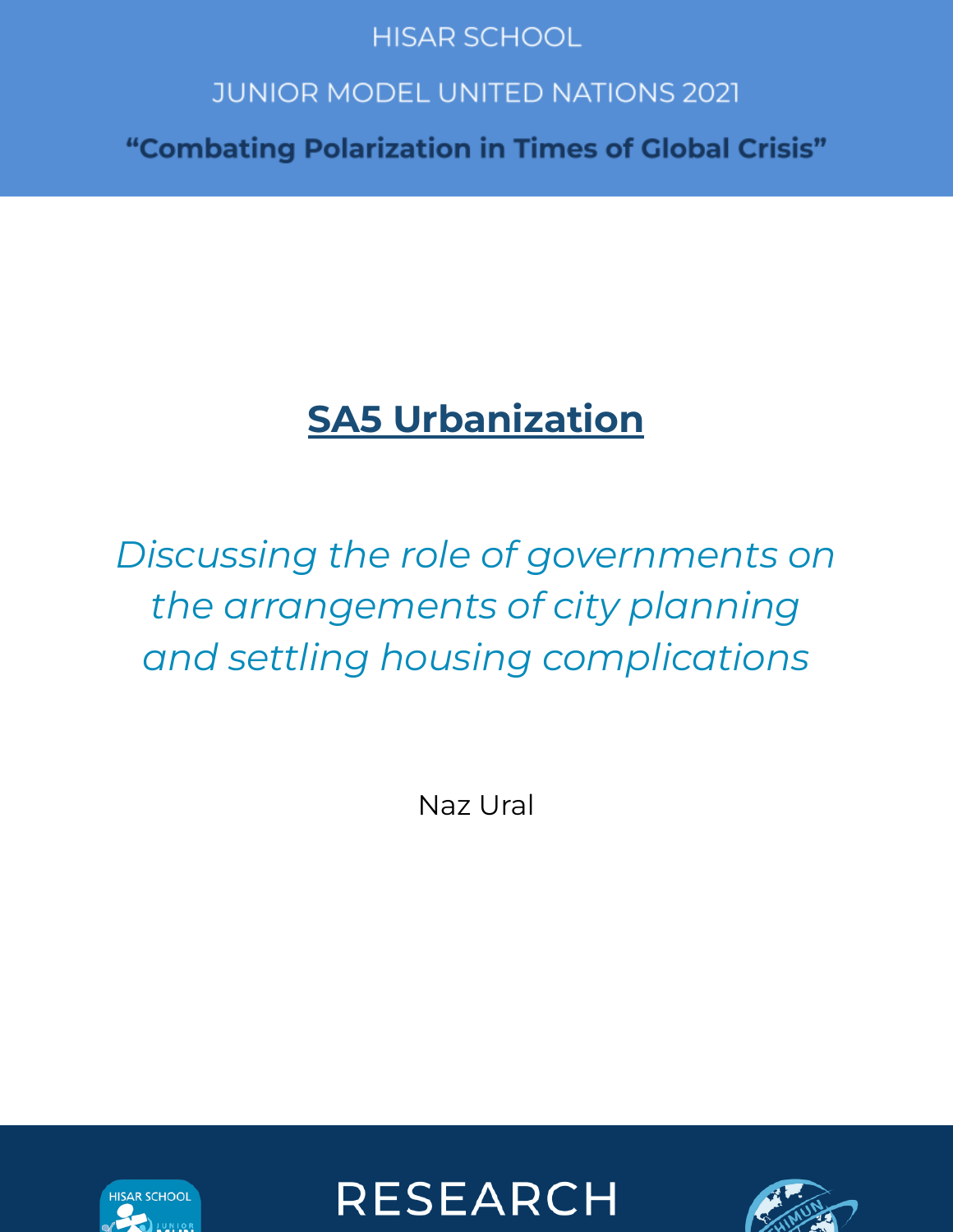## **HISAR SCHOOL**

## **JUNIOR MODEL UNITED NATIONS 2021**

"Combating Polarization in Times of Global Crisis"

# **SA5 Urbanization**

# *Discussing the role of governments on the arrangements of city planning and settling housing complications*

Naz Ural





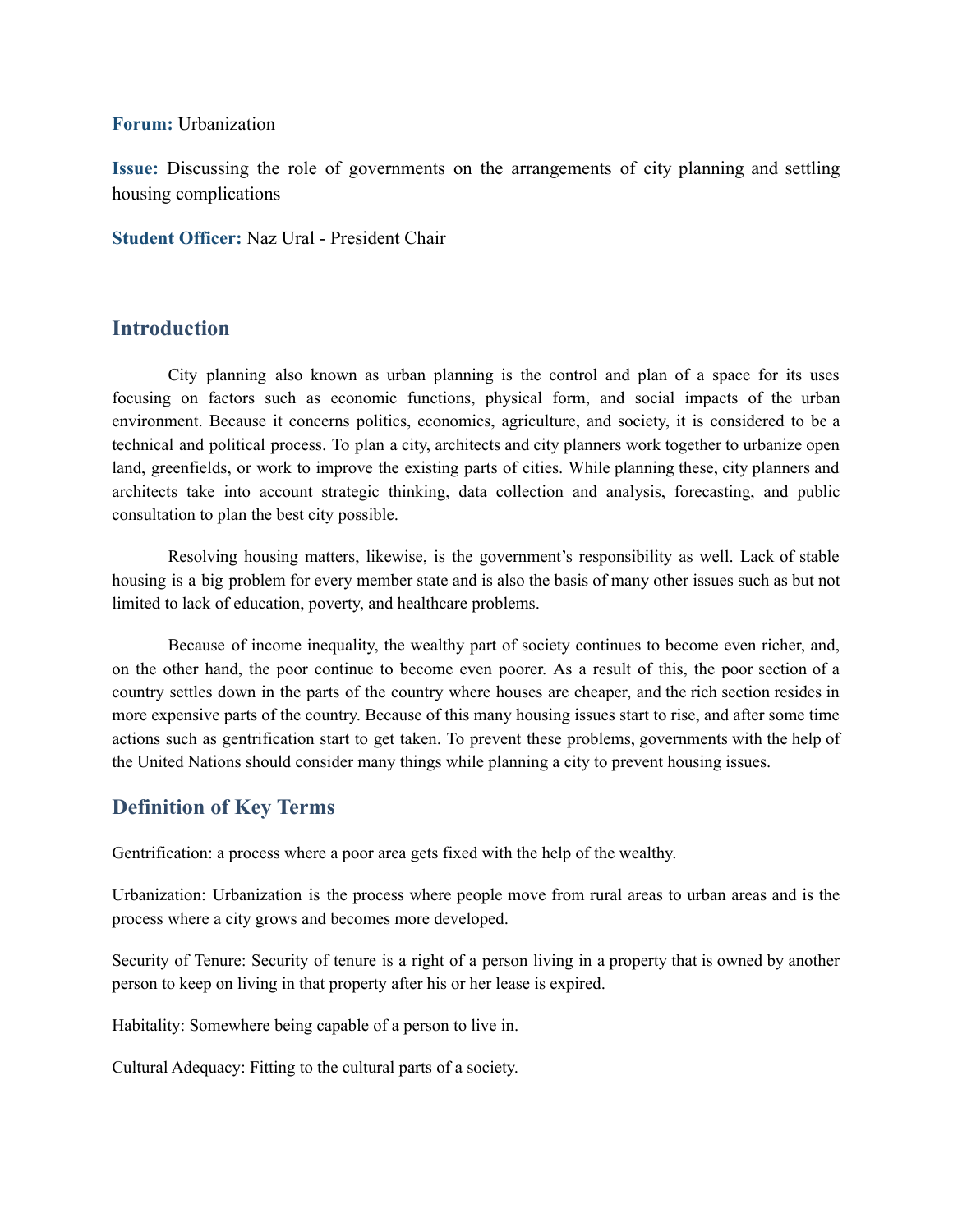#### **Forum:** Urbanization

**Issue:** Discussing the role of governments on the arrangements of city planning and settling housing complications

**Student Officer:** Naz Ural - President Chair

## **Introduction**

City planning also known as urban planning is the control and plan of a space for its uses focusing on factors such as economic functions, physical form, and social impacts of the urban environment. Because it concerns politics, economics, agriculture, and society, it is considered to be a technical and political process. To plan a city, architects and city planners work together to urbanize open land, greenfields, or work to improve the existing parts of cities. While planning these, city planners and architects take into account strategic thinking, data collection and analysis, forecasting, and public consultation to plan the best city possible.

Resolving housing matters, likewise, is the government's responsibility as well. Lack of stable housing is a big problem for every member state and is also the basis of many other issues such as but not limited to lack of education, poverty, and healthcare problems.

Because of income inequality, the wealthy part of society continues to become even richer, and, on the other hand, the poor continue to become even poorer. As a result of this, the poor section of a country settles down in the parts of the country where houses are cheaper, and the rich section resides in more expensive parts of the country. Because of this many housing issues start to rise, and after some time actions such as gentrification start to get taken. To prevent these problems, governments with the help of the United Nations should consider many things while planning a city to prevent housing issues.

## **Definition of Key Terms**

Gentrification: a process where a poor area gets fixed with the help of the wealthy.

Urbanization: Urbanization is the process where people move from rural areas to urban areas and is the process where a city grows and becomes more developed.

Security of Tenure: Security of tenure is a right of a person living in a property that is owned by another person to keep on living in that property after his or her lease is expired.

Habitality: Somewhere being capable of a person to live in.

Cultural Adequacy: Fitting to the cultural parts of a society.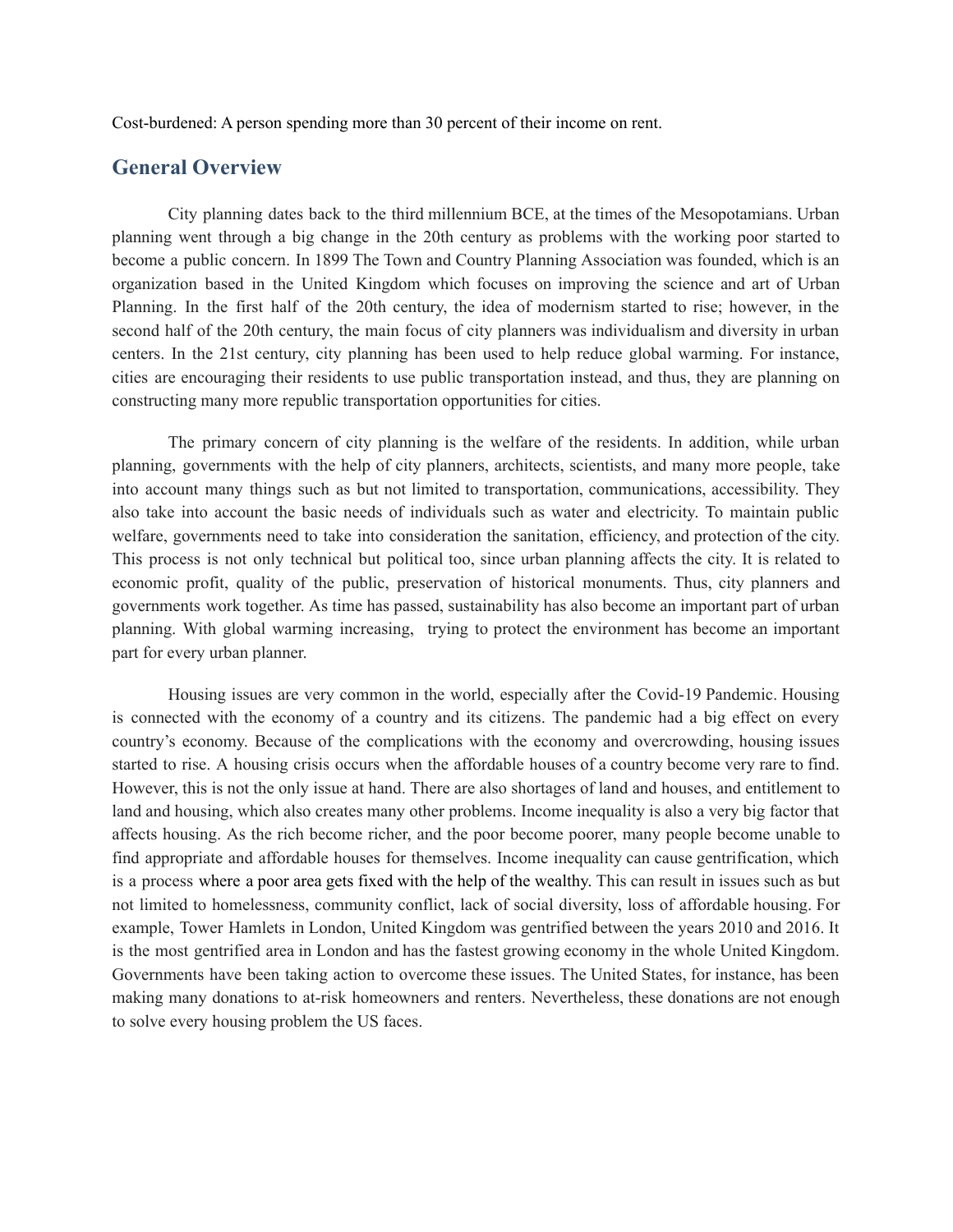Cost-burdened: A person spending more than 30 percent of their income on rent.

### **General Overview**

City planning dates back to the third millennium BCE, at the times of the Mesopotamians. Urban planning went through a big change in the 20th century as problems with the working poor started to become a public concern. In 1899 The Town and Country Planning Association was founded, which is an organization based in the United Kingdom which focuses on improving the science and art of Urban Planning. In the first half of the 20th century, the idea of modernism started to rise; however, in the second half of the 20th century, the main focus of city planners was individualism and diversity in urban centers. In the 21st century, city planning has been used to help reduce global warming. For instance, cities are encouraging their residents to use public transportation instead, and thus, they are planning on constructing many more republic transportation opportunities for cities.

The primary concern of city planning is the welfare of the residents. In addition, while urban planning, governments with the help of city planners, architects, scientists, and many more people, take into account many things such as but not limited to transportation, communications, accessibility. They also take into account the basic needs of individuals such as water and electricity. To maintain public welfare, governments need to take into consideration the sanitation, efficiency, and protection of the city. This process is not only technical but political too, since urban planning affects the city. It is related to economic profit, quality of the public, preservation of historical monuments. Thus, city planners and governments work together. As time has passed, sustainability has also become an important part of urban planning. With global warming increasing, trying to protect the environment has become an important part for every urban planner.

Housing issues are very common in the world, especially after the Covid-19 Pandemic. Housing is connected with the economy of a country and its citizens. The pandemic had a big effect on every country's economy. Because of the complications with the economy and overcrowding, housing issues started to rise. A housing crisis occurs when the affordable houses of a country become very rare to find. However, this is not the only issue at hand. There are also shortages of land and houses, and entitlement to land and housing, which also creates many other problems. Income inequality is also a very big factor that affects housing. As the rich become richer, and the poor become poorer, many people become unable to find appropriate and affordable houses for themselves. Income inequality can cause gentrification, which is a process where a poor area gets fixed with the help of the wealthy. This can result in issues such as but not limited to homelessness, community conflict, lack of social diversity, loss of affordable housing. For example, Tower Hamlets in London, United Kingdom was gentrified between the years 2010 and 2016. It is the most gentrified area in London and has the fastest growing economy in the whole United Kingdom. Governments have been taking action to overcome these issues. The United States, for instance, has been making many donations to at-risk homeowners and renters. Nevertheless, these donations are not enough to solve every housing problem the US faces.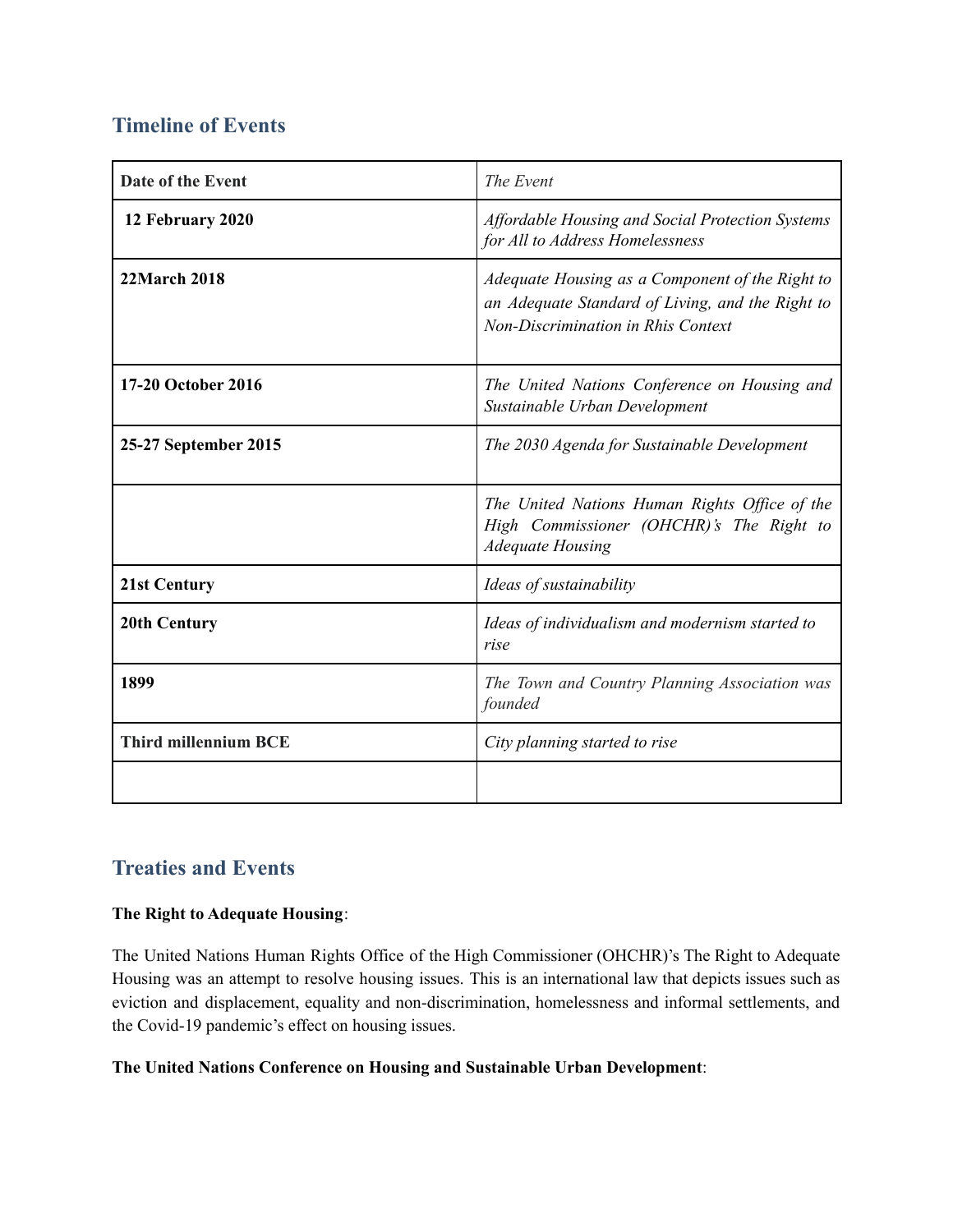## **Timeline of Events**

| Date of the Event           | The Event                                                                                                                                 |
|-----------------------------|-------------------------------------------------------------------------------------------------------------------------------------------|
| 12 February 2020            | Affordable Housing and Social Protection Systems<br>for All to Address Homelessness                                                       |
| <b>22March 2018</b>         | Adequate Housing as a Component of the Right to<br>an Adequate Standard of Living, and the Right to<br>Non-Discrimination in Rhis Context |
| 17-20 October 2016          | The United Nations Conference on Housing and<br>Sustainable Urban Development                                                             |
| 25-27 September 2015        | The 2030 Agenda for Sustainable Development                                                                                               |
|                             | The United Nations Human Rights Office of the<br>High Commissioner (OHCHR)'s The Right to<br><b>Adequate Housing</b>                      |
| 21st Century                | Ideas of sustainability                                                                                                                   |
| <b>20th Century</b>         | Ideas of individualism and modernism started to<br>rise                                                                                   |
| 1899                        | The Town and Country Planning Association was<br>founded                                                                                  |
| <b>Third millennium BCE</b> | City planning started to rise                                                                                                             |
|                             |                                                                                                                                           |

## **Treaties and Events**

## **The Right to Adequate Housing**:

The United Nations Human Rights Office of the High Commissioner (OHCHR)'s The Right to Adequate Housing was an attempt to resolve housing issues. This is an international law that depicts issues such as eviction and displacement, equality and non-discrimination, homelessness and informal settlements, and the Covid-19 pandemic's effect on housing issues.

## **The United Nations Conference on Housing and Sustainable Urban Development**: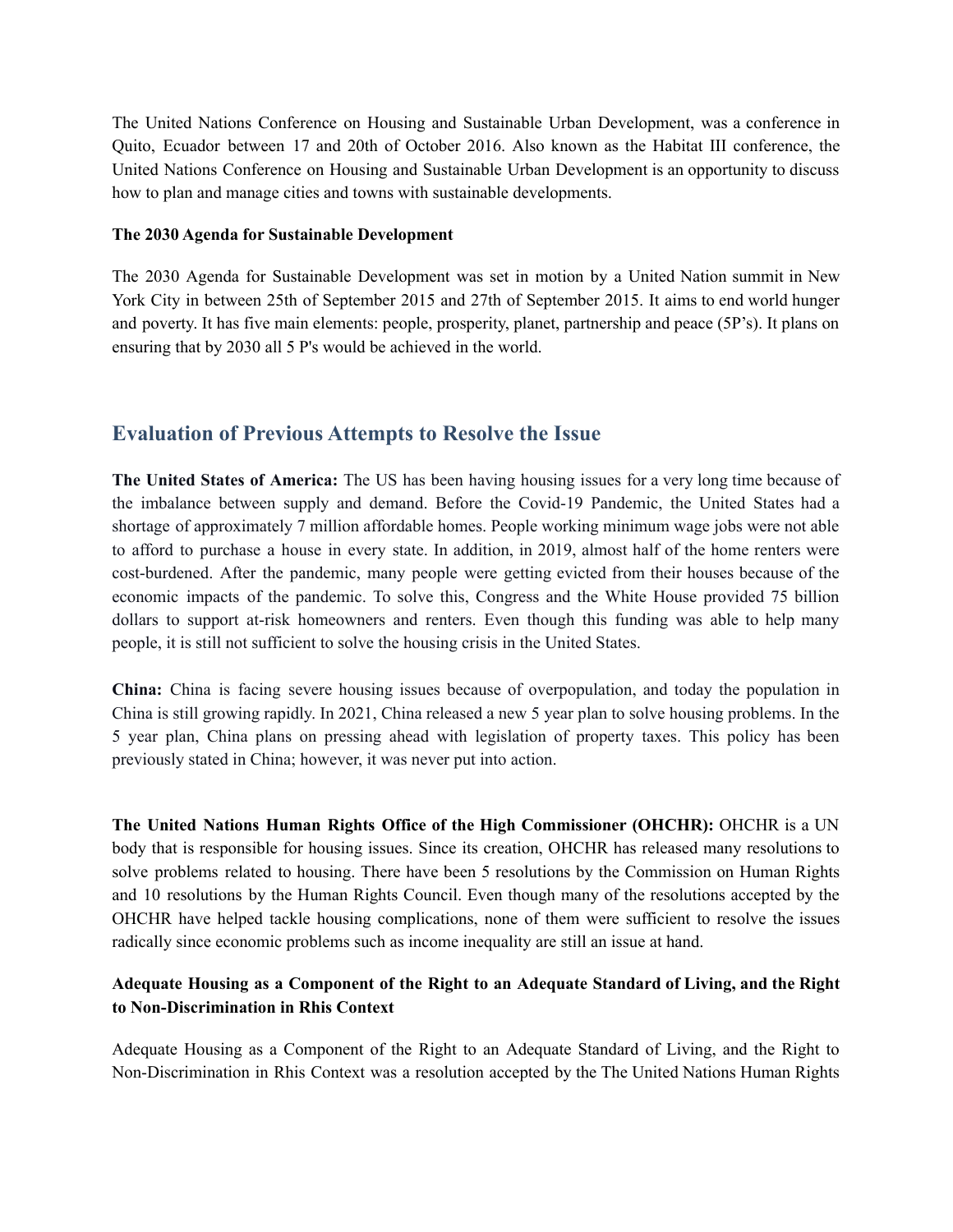The United Nations Conference on Housing and Sustainable Urban Development, was a conference in Quito, Ecuador between 17 and 20th of October 2016. Also known as the Habitat III conference, the United Nations Conference on Housing and Sustainable Urban Development is an opportunity to discuss how to plan and manage cities and towns with sustainable developments.

#### **The 2030 Agenda for Sustainable Development**

The 2030 Agenda for Sustainable Development was set in motion by a United Nation summit in New York City in between 25th of September 2015 and 27th of September 2015. It aims to end world hunger and poverty. It has five main elements: people, prosperity, planet, partnership and peace (5P's). It plans on ensuring that by 2030 all 5 P's would be achieved in the world.

## **Evaluation of Previous Attempts to Resolve the Issue**

**The United States of America:** The US has been having housing issues for a very long time because of the imbalance between supply and demand. Before the Covid-19 Pandemic, the United States had a shortage of approximately 7 million affordable homes. People working minimum wage jobs were not able to afford to purchase a house in every state. In addition, in 2019, almost half of the home renters were cost-burdened. After the pandemic, many people were getting evicted from their houses because of the economic impacts of the pandemic. To solve this, Congress and the White House provided 75 billion dollars to support at-risk homeowners and renters. Even though this funding was able to help many people, it is still not sufficient to solve the housing crisis in the United States.

**China:** China is facing severe housing issues because of overpopulation, and today the population in China is still growing rapidly. In 2021, China released a new 5 year plan to solve housing problems. In the 5 year plan, China plans on pressing ahead with legislation of property taxes. This policy has been previously stated in China; however, it was never put into action.

**The United Nations Human Rights Office of the High Commissioner (OHCHR):** OHCHR is a UN body that is responsible for housing issues. Since its creation, OHCHR has released many resolutions to solve problems related to housing. There have been 5 resolutions by the Commission on Human Rights and 10 resolutions by the Human Rights Council. Even though many of the resolutions accepted by the OHCHR have helped tackle housing complications, none of them were sufficient to resolve the issues radically since economic problems such as income inequality are still an issue at hand.

## **Adequate Housing as a Component of the Right to an Adequate Standard of Living, and the Right to Non-Discrimination in Rhis Context**

Adequate Housing as a Component of the Right to an Adequate Standard of Living, and the Right to Non-Discrimination in Rhis Context was a resolution accepted by the The United Nations Human Rights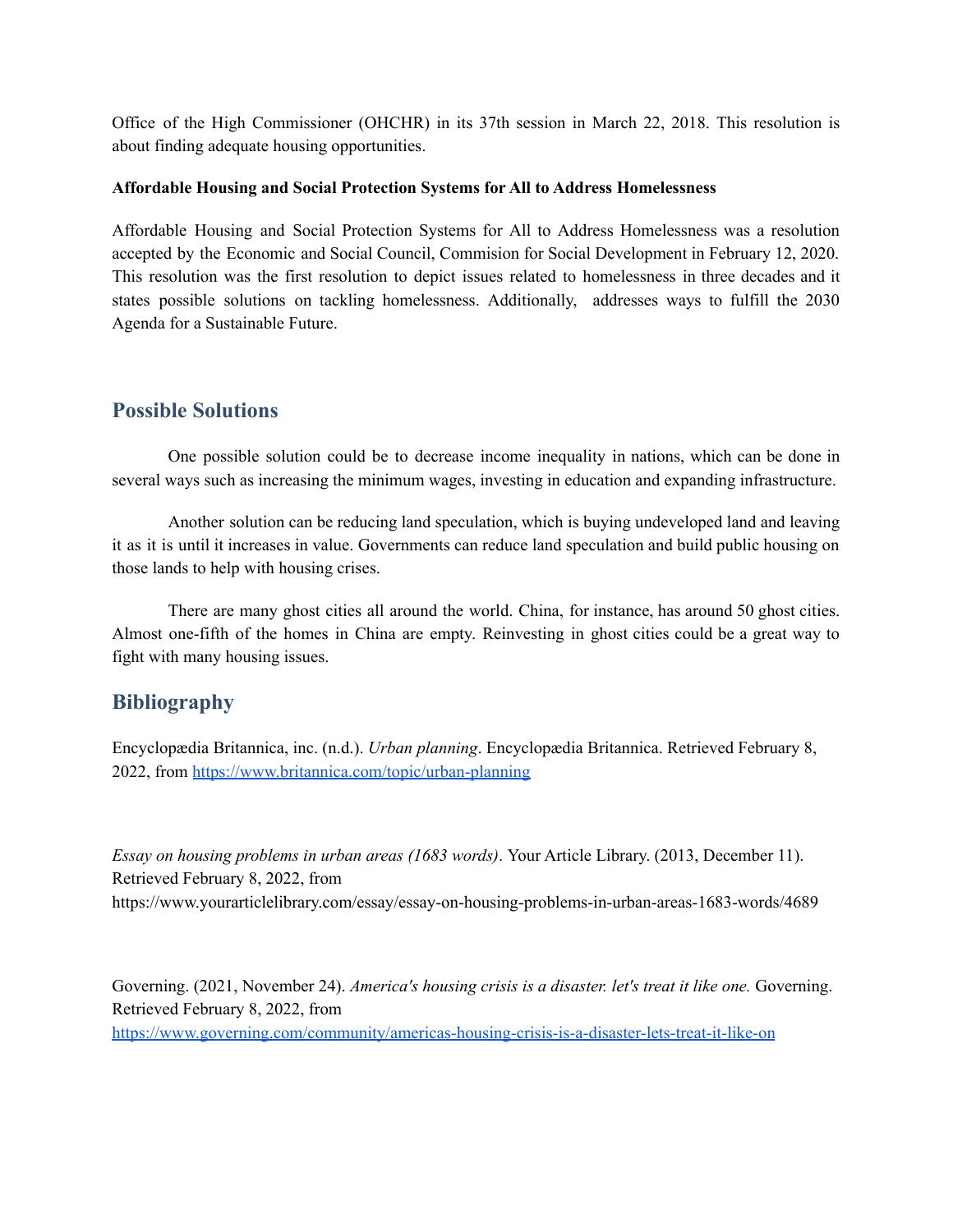Office of the High Commissioner (OHCHR) in its 37th session in March 22, 2018. This resolution is about finding adequate housing opportunities.

### **Affordable Housing and Social Protection Systems for All to Address Homelessness**

Affordable Housing and Social Protection Systems for All to Address Homelessness was a resolution accepted by the Economic and Social Council, Commision for Social Development in February 12, 2020. This resolution was the first resolution to depict issues related to homelessness in three decades and it states possible solutions on tackling homelessness. Additionally, addresses ways to fulfill the 2030 Agenda for a Sustainable Future.

## **Possible Solutions**

One possible solution could be to decrease income inequality in nations, which can be done in several ways such as increasing the minimum wages, investing in education and expanding infrastructure.

Another solution can be reducing land speculation, which is buying undeveloped land and leaving it as it is until it increases in value. Governments can reduce land speculation and build public housing on those lands to help with housing crises.

There are many ghost cities all around the world. China, for instance, has around 50 ghost cities. Almost one-fifth of the homes in China are empty. Reinvesting in ghost cities could be a great way to fight with many housing issues.

## **Bibliography**

Encyclopædia Britannica, inc. (n.d.). *Urban planning*. Encyclopædia Britannica. Retrieved February 8, 2022, from <https://www.britannica.com/topic/urban-planning>

*Essay on housing problems in urban areas (1683 words)*. Your Article Library. (2013, December 11). Retrieved February 8, 2022, from https://www.yourarticlelibrary.com/essay/essay-on-housing-problems-in-urban-areas-1683-words/4689

Governing. (2021, November 24). *America's housing crisis is a disaster. let's treat it like one.* Governing. Retrieved February 8, 2022, from <https://www.governing.com/community/americas-housing-crisis-is-a-disaster-lets-treat-it-like-on>